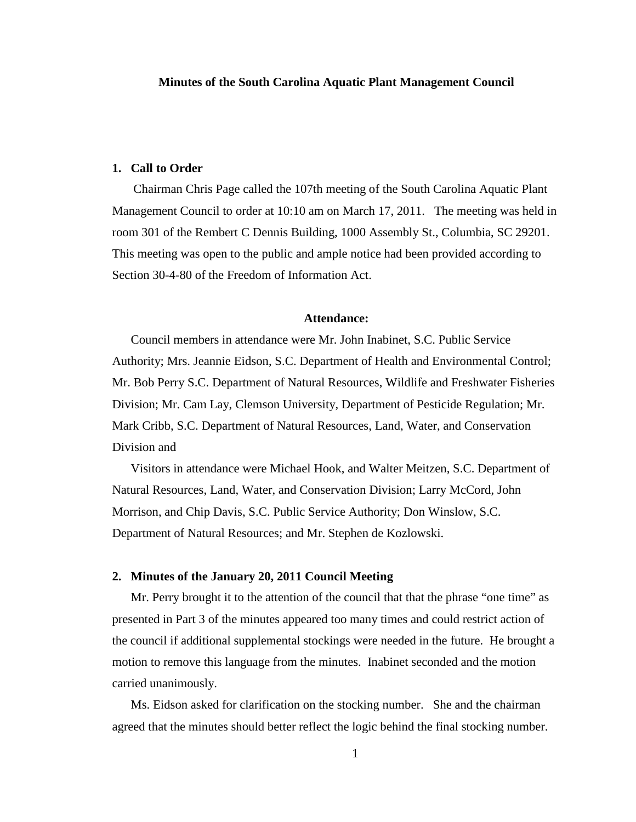# **1. Call to Order**

Chairman Chris Page called the 107th meeting of the South Carolina Aquatic Plant Management Council to order at 10:10 am on March 17, 2011. The meeting was held in room 301 of the Rembert C Dennis Building, 1000 Assembly St., Columbia, SC 29201. This meeting was open to the public and ample notice had been provided according to Section 30-4-80 of the Freedom of Information Act.

#### **Attendance:**

Council members in attendance were Mr. John Inabinet, S.C. Public Service Authority; Mrs. Jeannie Eidson, S.C. Department of Health and Environmental Control; Mr. Bob Perry S.C. Department of Natural Resources, Wildlife and Freshwater Fisheries Division; Mr. Cam Lay, Clemson University, Department of Pesticide Regulation; Mr. Mark Cribb, S.C. Department of Natural Resources, Land, Water, and Conservation Division and

Visitors in attendance were Michael Hook, and Walter Meitzen, S.C. Department of Natural Resources, Land, Water, and Conservation Division; Larry McCord, John Morrison, and Chip Davis, S.C. Public Service Authority; Don Winslow, S.C. Department of Natural Resources; and Mr. Stephen de Kozlowski.

# **2. Minutes of the January 20, 2011 Council Meeting**

Mr. Perry brought it to the attention of the council that that the phrase "one time" as presented in Part 3 of the minutes appeared too many times and could restrict action of the council if additional supplemental stockings were needed in the future. He brought a motion to remove this language from the minutes. Inabinet seconded and the motion carried unanimously.

Ms. Eidson asked for clarification on the stocking number. She and the chairman agreed that the minutes should better reflect the logic behind the final stocking number.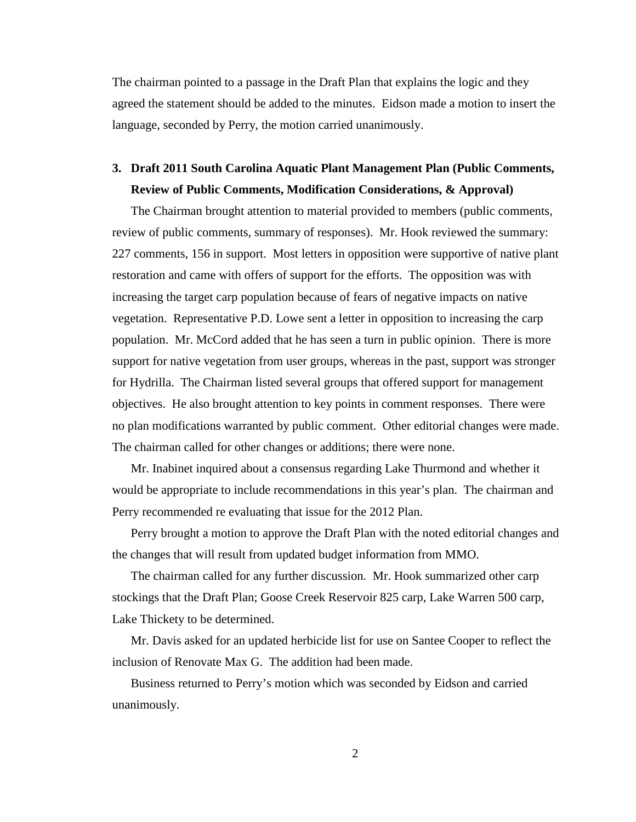The chairman pointed to a passage in the Draft Plan that explains the logic and they agreed the statement should be added to the minutes. Eidson made a motion to insert the language, seconded by Perry, the motion carried unanimously.

# **3. Draft 2011 South Carolina Aquatic Plant Management Plan (Public Comments, Review of Public Comments, Modification Considerations, & Approval)**

The Chairman brought attention to material provided to members (public comments, review of public comments, summary of responses). Mr. Hook reviewed the summary: 227 comments, 156 in support. Most letters in opposition were supportive of native plant restoration and came with offers of support for the efforts. The opposition was with increasing the target carp population because of fears of negative impacts on native vegetation. Representative P.D. Lowe sent a letter in opposition to increasing the carp population. Mr. McCord added that he has seen a turn in public opinion. There is more support for native vegetation from user groups, whereas in the past, support was stronger for Hydrilla. The Chairman listed several groups that offered support for management objectives. He also brought attention to key points in comment responses. There were no plan modifications warranted by public comment. Other editorial changes were made. The chairman called for other changes or additions; there were none.

Mr. Inabinet inquired about a consensus regarding Lake Thurmond and whether it would be appropriate to include recommendations in this year's plan. The chairman and Perry recommended re evaluating that issue for the 2012 Plan.

Perry brought a motion to approve the Draft Plan with the noted editorial changes and the changes that will result from updated budget information from MMO.

The chairman called for any further discussion. Mr. Hook summarized other carp stockings that the Draft Plan; Goose Creek Reservoir 825 carp, Lake Warren 500 carp, Lake Thickety to be determined.

Mr. Davis asked for an updated herbicide list for use on Santee Cooper to reflect the inclusion of Renovate Max G. The addition had been made.

Business returned to Perry's motion which was seconded by Eidson and carried unanimously.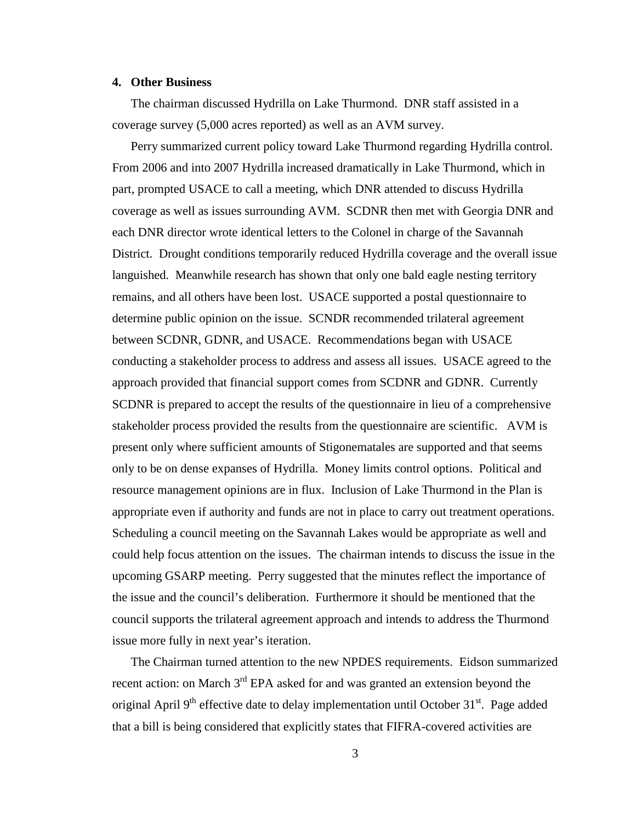## **4. Other Business**

The chairman discussed Hydrilla on Lake Thurmond. DNR staff assisted in a coverage survey (5,000 acres reported) as well as an AVM survey.

Perry summarized current policy toward Lake Thurmond regarding Hydrilla control. From 2006 and into 2007 Hydrilla increased dramatically in Lake Thurmond, which in part, prompted USACE to call a meeting, which DNR attended to discuss Hydrilla coverage as well as issues surrounding AVM. SCDNR then met with Georgia DNR and each DNR director wrote identical letters to the Colonel in charge of the Savannah District. Drought conditions temporarily reduced Hydrilla coverage and the overall issue languished. Meanwhile research has shown that only one bald eagle nesting territory remains, and all others have been lost. USACE supported a postal questionnaire to determine public opinion on the issue. SCNDR recommended trilateral agreement between SCDNR, GDNR, and USACE. Recommendations began with USACE conducting a stakeholder process to address and assess all issues. USACE agreed to the approach provided that financial support comes from SCDNR and GDNR. Currently SCDNR is prepared to accept the results of the questionnaire in lieu of a comprehensive stakeholder process provided the results from the questionnaire are scientific. AVM is present only where sufficient amounts of Stigonematales are supported and that seems only to be on dense expanses of Hydrilla. Money limits control options. Political and resource management opinions are in flux. Inclusion of Lake Thurmond in the Plan is appropriate even if authority and funds are not in place to carry out treatment operations. Scheduling a council meeting on the Savannah Lakes would be appropriate as well and could help focus attention on the issues. The chairman intends to discuss the issue in the upcoming GSARP meeting. Perry suggested that the minutes reflect the importance of the issue and the council's deliberation. Furthermore it should be mentioned that the council supports the trilateral agreement approach and intends to address the Thurmond issue more fully in next year's iteration.

The Chairman turned attention to the new NPDES requirements. Eidson summarized recent action: on March 3<sup>rd</sup> EPA asked for and was granted an extension beyond the original April  $9<sup>th</sup>$  effective date to delay implementation until October 31 $<sup>st</sup>$ . Page added</sup> that a bill is being considered that explicitly states that FIFRA-covered activities are

3